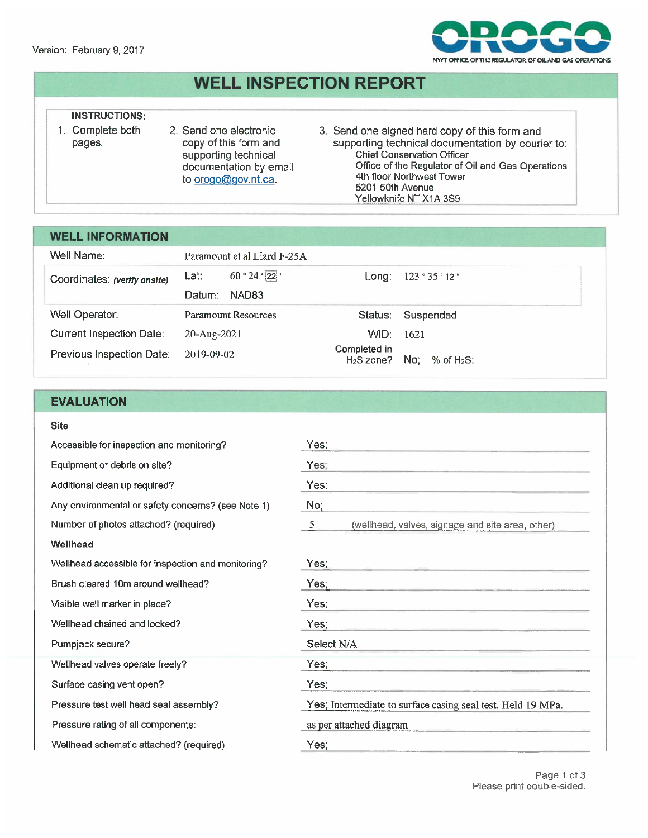

# **WELL INSPECTION REPORT**

- **INSTRUCTIONS:**  1. Complete both pages.
- 2. Send one electronic supporting technical documentation by email documentation by email to orogo@gov.nt.ca.
- 3. Send one signed hard copy of this form and<br>eupoorting technical documentation by cour supporting technical documentation by courier to:<br>Chief Conservation Officer Chief Conservation Officer<br>Chief of the Requision of ( Office of the Regulator of Oil and Gas Operations<br>Ath floor Northwest Tower 4th floor Northwest Tower<br>5201 50th Avenue 5201 50th Avenue **Y** EllowKnife NT XTA 3S8

### **WELL INFORMATION**

| Well Name:                      | Paramount et al Liard F-25A |                                                |
|---------------------------------|-----------------------------|------------------------------------------------|
| Coordinates: (verify onsite)    | 60°24'22<br>Lat:            | Long: $123 \cdot 35 \cdot 12$ "                |
|                                 | NAD83<br>Datum:             |                                                |
| Well Operator:                  | <b>Paramount Resources</b>  | Status: Suspended                              |
| <b>Current Inspection Date:</b> | 20-Aug-2021                 | WID:<br>1621                                   |
| Previous Inspection Date:       | 2019-09-02                  | Completed in<br>$H_2S$ zone? No; % of $H_2S$ : |

### **EVALUATION**

| <b>Site</b>                                        |                                                             |  |  |
|----------------------------------------------------|-------------------------------------------------------------|--|--|
| Accessible for inspection and monitoring?          | Yes;                                                        |  |  |
| Equipment or debris on site?                       | Yes:                                                        |  |  |
| Additional clean up required?                      | Yes;                                                        |  |  |
| Any environmental or safety concerns? (see Note 1) | No;                                                         |  |  |
| Number of photos attached? (required)              | 5<br>(wellhead, valves, signage and site area, other)       |  |  |
| Wellhead                                           |                                                             |  |  |
| Wellhead accessible for inspection and monitoring? | Yes:                                                        |  |  |
| Brush cleared 10m around wellhead?                 | Yes;                                                        |  |  |
| Visible well marker in place?                      | Yes;                                                        |  |  |
| Wellhead chained and locked?                       | Yes;                                                        |  |  |
| Pumpjack secure?                                   | Select N/A                                                  |  |  |
| Wellhead valves operate freely?                    | Yes;                                                        |  |  |
| Surface casing vent open?                          | Yes;                                                        |  |  |
| Pressure test well head seal assembly?             | Yes; Intermediate to surface casing seal test. Held 19 MPa. |  |  |
| Pressure rating of all components:                 | as per attached diagram                                     |  |  |
| Wellhead schematic attached? (required)            | Yes;                                                        |  |  |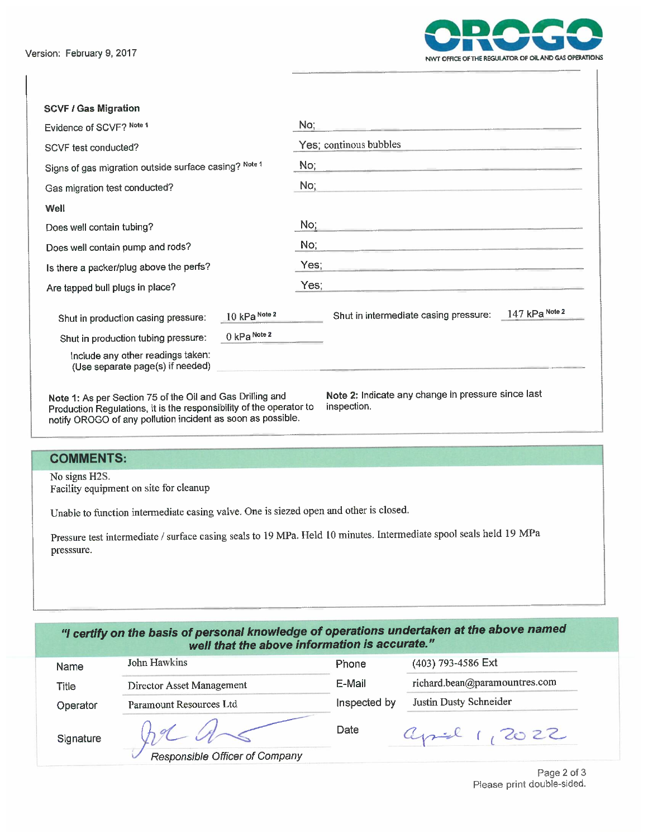

| Evidence of SCVF? Note 1<br>SCVF test conducted?<br>Signs of gas migration outside surface casing? Note 1 |                  | No;<br>Yes; continous bubbles<br><b>STATISTICS/STATISTICS/STATISTICS/STATISTICS</b><br>No;<br>the contract of the contract of the contract of the contract of the contract of the contract of the contract of |                                       |                |                                 |  |                                                                |  |  |
|-----------------------------------------------------------------------------------------------------------|------------------|---------------------------------------------------------------------------------------------------------------------------------------------------------------------------------------------------------------|---------------------------------------|----------------|---------------------------------|--|----------------------------------------------------------------|--|--|
|                                                                                                           |                  |                                                                                                                                                                                                               |                                       |                | Gas migration test conducted?   |  | No;<br><u> 1989 - Johann Marie Berlin, Amerikaansk politik</u> |  |  |
|                                                                                                           |                  |                                                                                                                                                                                                               |                                       |                | Well                            |  |                                                                |  |  |
| Does well contain tubing?                                                                                 |                  | No;                                                                                                                                                                                                           |                                       |                |                                 |  |                                                                |  |  |
| Does well contain pump and rods?<br>Is there a packer/plug above the perfs?                               |                  | No;<br>Yes;<br>the contract of the contract of the contract of the contract of the contract of the contract of                                                                                                |                                       |                |                                 |  |                                                                |  |  |
|                                                                                                           |                  |                                                                                                                                                                                                               |                                       |                | Are tapped bull plugs in place? |  | Yes,                                                           |  |  |
| Shut in production casing pressure:                                                                       | 10 kPa Note 2    |                                                                                                                                                                                                               | Shut in intermediate casing pressure: | 147 kPa Note 2 |                                 |  |                                                                |  |  |
| Shut in production tubing pressure:                                                                       | $0$ kPa Note $2$ |                                                                                                                                                                                                               |                                       |                |                                 |  |                                                                |  |  |
| Include any other readings taken:<br>(Use separate page(s) if needed)                                     |                  |                                                                                                                                                                                                               |                                       |                |                                 |  |                                                                |  |  |

Production Regulations, it is the responsibility of the operator to notify OROGO of any pollution incident as soon as possible.

inspection.

# **COMMENTS:**<br>No signs H2S.

No signs H2S. Facility equipment on site for cleanup

Unable to function intermediate casing valve. One is siezed open and other is closed.

Pressure test intermediate / surface casing seals to 19 MPa. Held 10 minutes. Intermediate spool seals held 19 MPa presssure.

# *"I certify on the basis of personal knowledge of operations undertaken at the above named well that the above information is accurate. 11*

| Name      | John Hawkins                   | Phone        | (403) 793-4586 Ext            |
|-----------|--------------------------------|--------------|-------------------------------|
| Title     | Director Asset Management      | E-Mail       | richard.bean@paramountres.com |
| Operator  | Paramount Resources Ltd        | Inspected by | Justin Dusty Schneider        |
| Signature |                                | Date         |                               |
|           | Responsible Officer of Company |              |                               |

r aye z or 3<br>babia-aidunk Please print double-sided.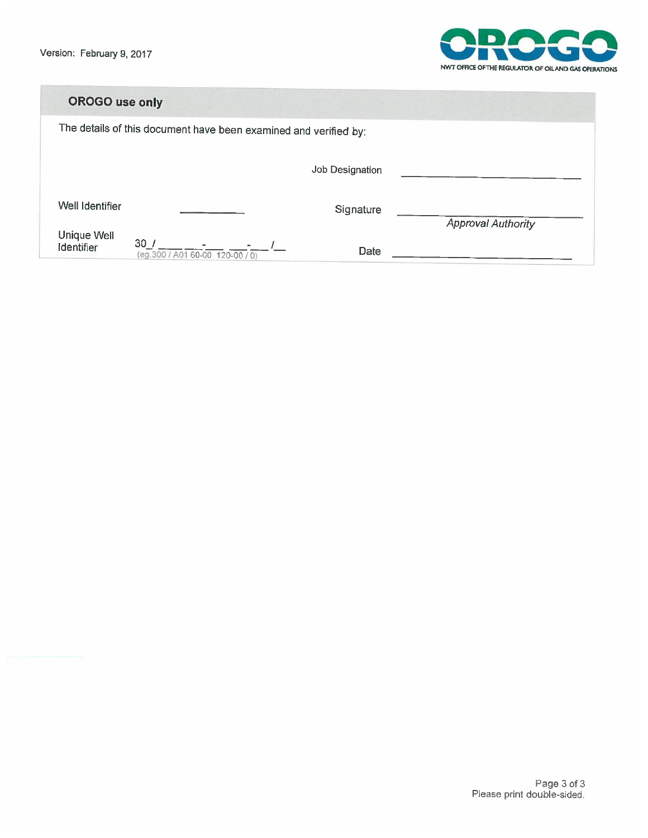Version: February 9, 2017



| <b>OROGO</b> use only                                            |                                             |                 |                           |  |  |  |
|------------------------------------------------------------------|---------------------------------------------|-----------------|---------------------------|--|--|--|
| The details of this document have been examined and verified by: |                                             |                 |                           |  |  |  |
|                                                                  |                                             | Job Designation |                           |  |  |  |
| Well Identifier                                                  |                                             | Signature       | <b>Approval Authority</b> |  |  |  |
| Unique Well<br><b>Identifier</b>                                 | 30/<br>-<br>(eg.300 / A01 60-00 120-00 / 0) | Date            |                           |  |  |  |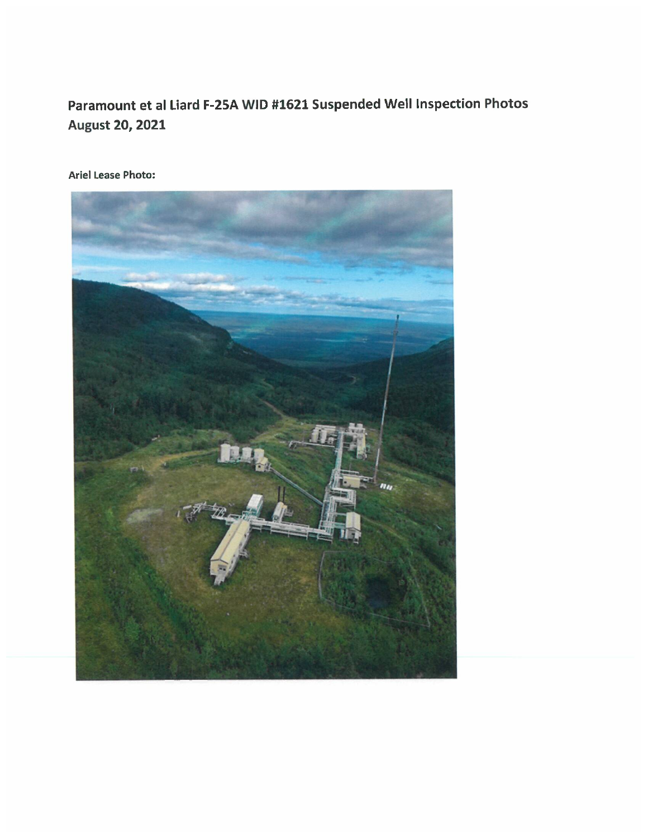Paramount et al Liard F-25A WID #1621 Suspended Well Inspection Photos August 20, 2021

Ariel Lease Photo:

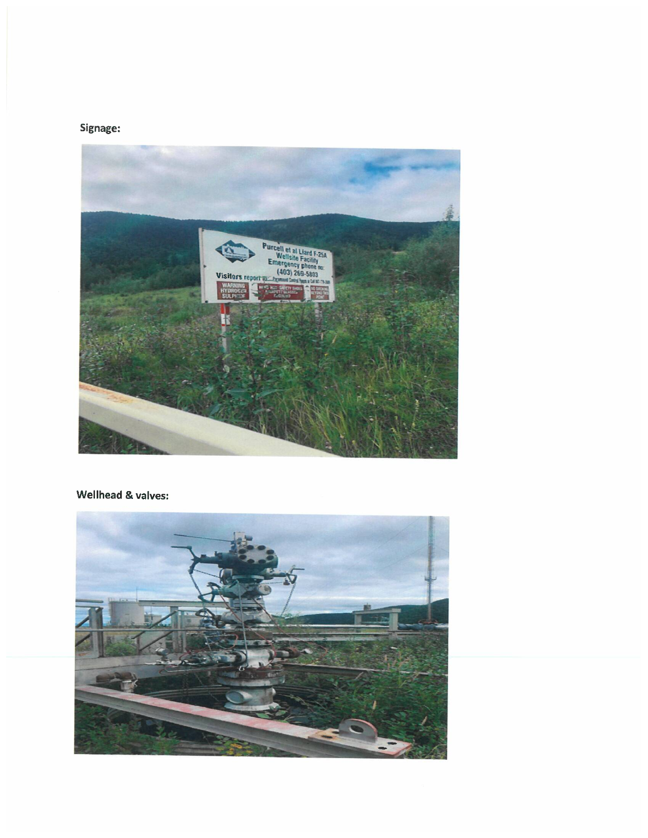### Signage:



## Wellhead & valves:

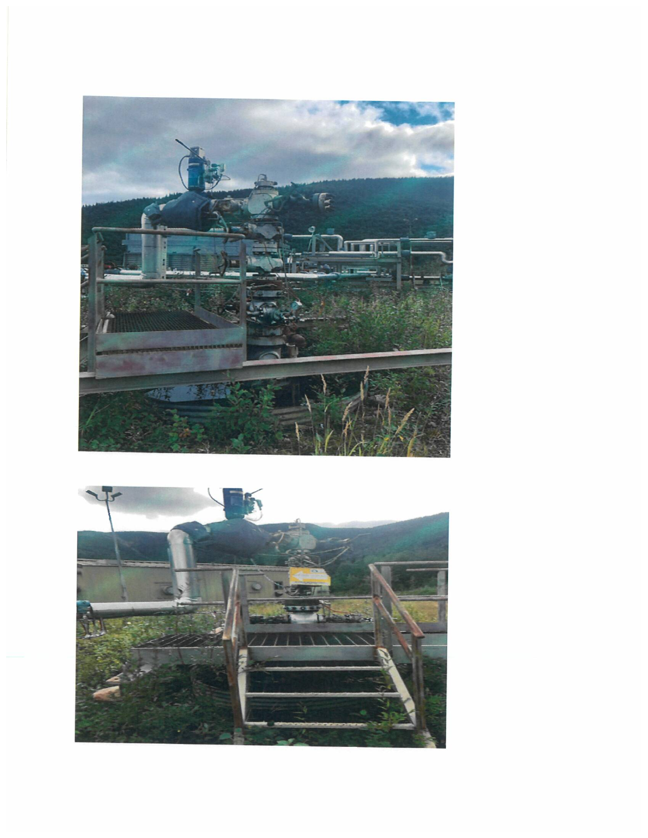